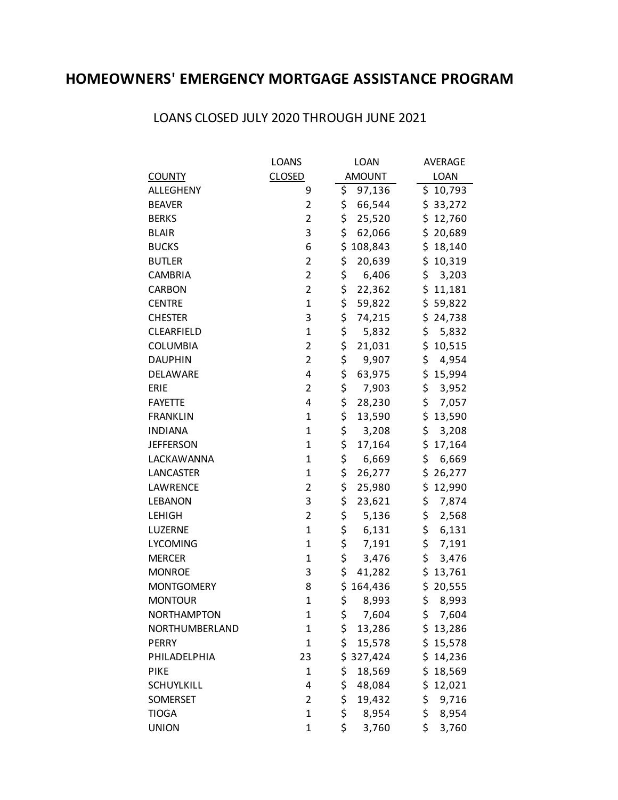## **HOMEOWNERS' EMERGENCY MORTGAGE ASSISTANCE PROGRAM**

|                    | <b>LOANS</b>   | LOAN          | <b>AVERAGE</b> |
|--------------------|----------------|---------------|----------------|
| <b>COUNTY</b>      | <b>CLOSED</b>  | <b>AMOUNT</b> | LOAN           |
| ALLEGHENY          | 9              | \$<br>97,136  | \$<br>10,793   |
| <b>BEAVER</b>      | 2              | \$<br>66,544  | \$33,272       |
| <b>BERKS</b>       | $\overline{2}$ | \$<br>25,520  | \$<br>12,760   |
| <b>BLAIR</b>       | 3              | \$<br>62,066  | \$<br>20,689   |
| <b>BUCKS</b>       | 6              | \$<br>108,843 | \$18,140       |
| <b>BUTLER</b>      | 2              | \$<br>20,639  | \$10,319       |
| <b>CAMBRIA</b>     | $\overline{c}$ | \$<br>6,406   | \$<br>3,203    |
| <b>CARBON</b>      | $\overline{2}$ | \$<br>22,362  | \$11,181       |
| <b>CENTRE</b>      | 1              | \$<br>59,822  | \$59,822       |
| <b>CHESTER</b>     | 3              | \$<br>74,215  | \$<br>24,738   |
| CLEARFIELD         | $\mathbf{1}$   | \$<br>5,832   | \$<br>5,832    |
| <b>COLUMBIA</b>    | 2              | \$<br>21,031  | \$<br>10,515   |
| <b>DAUPHIN</b>     | $\overline{c}$ | \$<br>9,907   | \$<br>4,954    |
| <b>DELAWARE</b>    | 4              | \$<br>63,975  | \$<br>15,994   |
| ERIE               | $\overline{2}$ | \$<br>7,903   | \$<br>3,952    |
| <b>FAYETTE</b>     | 4              | \$<br>28,230  | \$<br>7,057    |
| <b>FRANKLIN</b>    | $\mathbf{1}$   | \$<br>13,590  | \$<br>13,590   |
| <b>INDIANA</b>     | 1              | \$<br>3,208   | \$<br>3,208    |
| <b>JEFFERSON</b>   | 1              | \$<br>17,164  | \$<br>17,164   |
| LACKAWANNA         | $\mathbf{1}$   | \$<br>6,669   | \$<br>6,669    |
| <b>LANCASTER</b>   | 1              | \$<br>26,277  | \$<br>26,277   |
| LAWRENCE           | $\overline{c}$ | \$<br>25,980  | \$<br>12,990   |
| <b>LEBANON</b>     | 3              | \$<br>23,621  | \$<br>7,874    |
| <b>LEHIGH</b>      | 2              | \$<br>5,136   | \$<br>2,568    |
| LUZERNE            | $\mathbf 1$    | \$<br>6,131   | \$<br>6,131    |
| <b>LYCOMING</b>    | $\mathbf{1}$   | \$<br>7,191   | \$<br>7,191    |
| <b>MERCER</b>      | 1              | \$<br>3,476   | \$<br>3,476    |
| <b>MONROE</b>      | 3              | \$<br>41,282  | \$<br>13,761   |
| <b>MONTGOMERY</b>  | 8              | \$<br>164,436 | \$<br>20,555   |
| <b>MONTOUR</b>     | 1              | \$<br>8,993   | \$<br>8,993    |
| <b>NORTHAMPTON</b> | 1              | \$<br>7,604   | \$<br>7,604    |
| NORTHUMBERLAND     | 1              | \$<br>13,286  | \$13,286       |
| <b>PERRY</b>       | 1              | \$<br>15,578  | \$15,578       |
| PHILADELPHIA       | 23             | \$<br>327,424 | \$<br>14,236   |
| <b>PIKE</b>        | 1              | \$<br>18,569  | \$<br>18,569   |
| <b>SCHUYLKILL</b>  | 4              | \$<br>48,084  | 12,021<br>\$   |
| SOMERSET           | 2              | \$<br>19,432  | \$<br>9,716    |
| <b>TIOGA</b>       | $\mathbf{1}$   | \$<br>8,954   | \$<br>8,954    |
| <b>UNION</b>       | 1              | \$<br>3,760   | \$<br>3,760    |

## LOANS CLOSED JULY 2020 THROUGH JUNE 2021